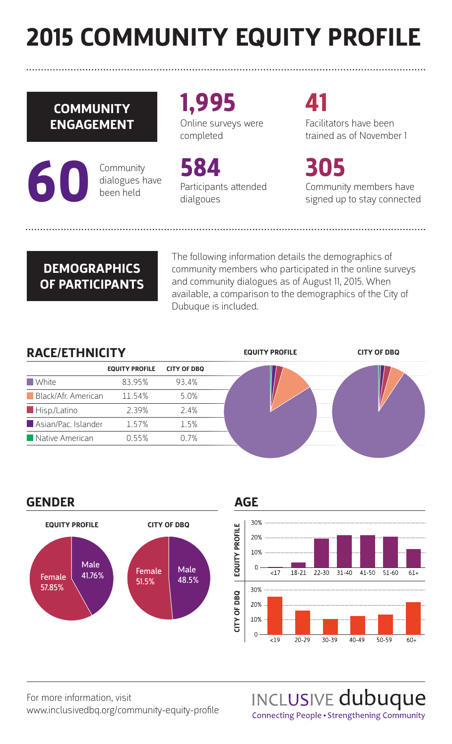# **2015 COMMUNITY EQUITY PROFILE**

### **COMMUNITY ENGAGEMENT**

**60** Community<br>dialogues h<br>been held dialogues have been held

**1,995** Online surveys were completed

**584** Participants attended dialgoues

## **41**

Facilitators have been trained as of November 1

**305** Community members have signed up to stay connected

### **DEMOGRAPHICS OF PARTICIPANTS**

The following information details the demographics of community members who participated in the online surveys and community dialogues as of August 11, 2015. When available, a comparison to the demographics of the City of Dubuque is included.

**EQUITY PROFILE CITY OF DBQ**

### **RACE/ETHNICITY**

|                             | <b>EQUITY PROFILE</b> | <b>CITY OF DBQ</b> |  |  |
|-----------------------------|-----------------------|--------------------|--|--|
| <b>N</b> White              | 83.95%                | 93.4%              |  |  |
| <b>Black/Afr. American</b>  | 11.54%                | 5.0%               |  |  |
| $\blacksquare$ Hisp./Latino | 2.39%                 | 2.4%               |  |  |
| Asian/Pac. Islander         | 1.57%                 | 1.5%               |  |  |
| Native American             | 0.55%                 | 0.7%               |  |  |
|                             |                       |                    |  |  |

### **GENDER**







For more information, visit www.inclusivedbq.org/community-equity-profile INCLUSIVE dubuque Connecting People • Strengthening Community